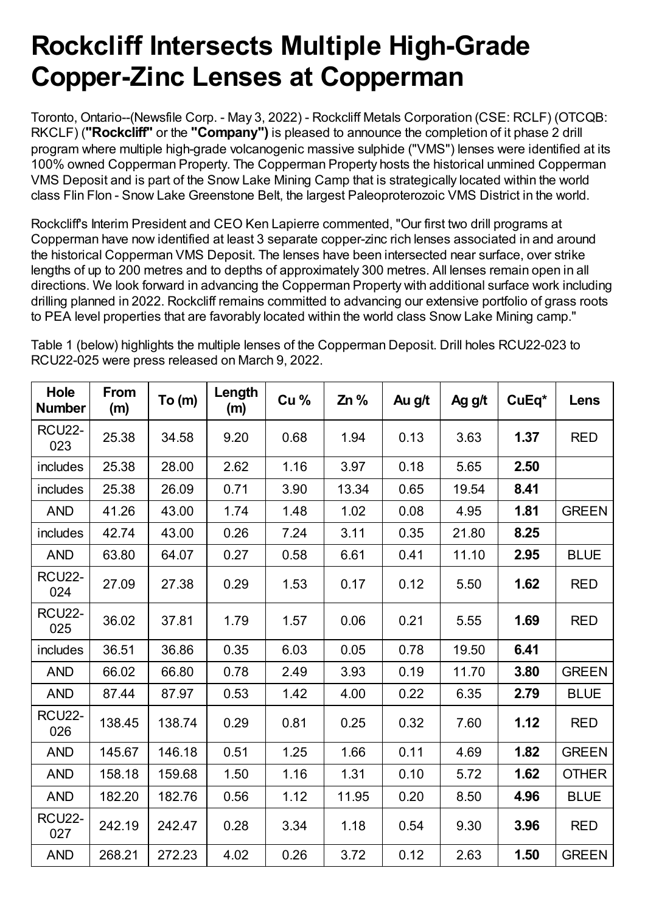# **Rockcliff Intersects Multiple High-Grade Copper-Zinc Lenses at Copperman**

Toronto, Ontario--(Newsfile Corp. - May 3, 2022) - Rockcliff Metals Corporation (CSE: RCLF) (OTCQB: RKCLF) (**"Rockcliff"** or the **"Company")** is pleased to announce the completion of it phase 2 drill program where multiple high-grade volcanogenic massive sulphide ("VMS") lenses were identified at its 100% owned Copperman Property. The Copperman Property hosts the historical unmined Copperman VMS Deposit and is part of the Snow Lake Mining Camp that is strategically located within the world class Flin Flon - Snow Lake Greenstone Belt, the largest Paleoproterozoic VMS District in the world.

Rockcliff's Interim President and CEO Ken Lapierre commented, "Our first two drill programs at Copperman have now identified at least 3 separate copper-zinc rich lenses associated in and around the historical Copperman VMS Deposit. The lenses have been intersected near surface, over strike lengths of up to 200 metres and to depths of approximately 300 metres. All lenses remain open in all directions. We look forward in advancing the Copperman Property with additional surface work including drilling planned in 2022. Rockcliff remains committed to advancing our extensive portfolio of grass roots to PEA level properties that are favorably located within the world class Snow Lake Mining camp."

Table 1 (below) highlights the multiple lenses of the Copperman Deposit. Drill holes RCU22-023 to RCU22-025 were press released on March 9, 2022.

| Hole<br><b>Number</b> | From<br>(m) | To (m) | Length<br>(m) | Cu <sub>%</sub> | Zn %  | Au g/t | Ag g/t | $CuEq*$ | Lens         |
|-----------------------|-------------|--------|---------------|-----------------|-------|--------|--------|---------|--------------|
| <b>RCU22-</b><br>023  | 25.38       | 34.58  | 9.20          | 0.68            | 1.94  | 0.13   | 3.63   | 1.37    | <b>RED</b>   |
| includes              | 25.38       | 28.00  | 2.62          | 1.16            | 3.97  | 0.18   | 5.65   | 2.50    |              |
| includes              | 25.38       | 26.09  | 0.71          | 3.90            | 13.34 | 0.65   | 19.54  | 8.41    |              |
| <b>AND</b>            | 41.26       | 43.00  | 1.74          | 1.48            | 1.02  | 0.08   | 4.95   | 1.81    | <b>GREEN</b> |
| includes              | 42.74       | 43.00  | 0.26          | 7.24            | 3.11  | 0.35   | 21.80  | 8.25    |              |
| <b>AND</b>            | 63.80       | 64.07  | 0.27          | 0.58            | 6.61  | 0.41   | 11.10  | 2.95    | <b>BLUE</b>  |
| <b>RCU22-</b><br>024  | 27.09       | 27.38  | 0.29          | 1.53            | 0.17  | 0.12   | 5.50   | 1.62    | <b>RED</b>   |
| <b>RCU22-</b><br>025  | 36.02       | 37.81  | 1.79          | 1.57            | 0.06  | 0.21   | 5.55   | 1.69    | <b>RED</b>   |
| includes              | 36.51       | 36.86  | 0.35          | 6.03            | 0.05  | 0.78   | 19.50  | 6.41    |              |
| <b>AND</b>            | 66.02       | 66.80  | 0.78          | 2.49            | 3.93  | 0.19   | 11.70  | 3.80    | <b>GREEN</b> |
| <b>AND</b>            | 87.44       | 87.97  | 0.53          | 1.42            | 4.00  | 0.22   | 6.35   | 2.79    | <b>BLUE</b>  |
| <b>RCU22-</b><br>026  | 138.45      | 138.74 | 0.29          | 0.81            | 0.25  | 0.32   | 7.60   | 1.12    | <b>RED</b>   |
| <b>AND</b>            | 145.67      | 146.18 | 0.51          | 1.25            | 1.66  | 0.11   | 4.69   | 1.82    | <b>GREEN</b> |
| <b>AND</b>            | 158.18      | 159.68 | 1.50          | 1.16            | 1.31  | 0.10   | 5.72   | 1.62    | <b>OTHER</b> |
| <b>AND</b>            | 182.20      | 182.76 | 0.56          | 1.12            | 11.95 | 0.20   | 8.50   | 4.96    | <b>BLUE</b>  |
| <b>RCU22-</b><br>027  | 242.19      | 242.47 | 0.28          | 3.34            | 1.18  | 0.54   | 9.30   | 3.96    | <b>RED</b>   |
| <b>AND</b>            | 268.21      | 272.23 | 4.02          | 0.26            | 3.72  | 0.12   | 2.63   | 1.50    | <b>GREEN</b> |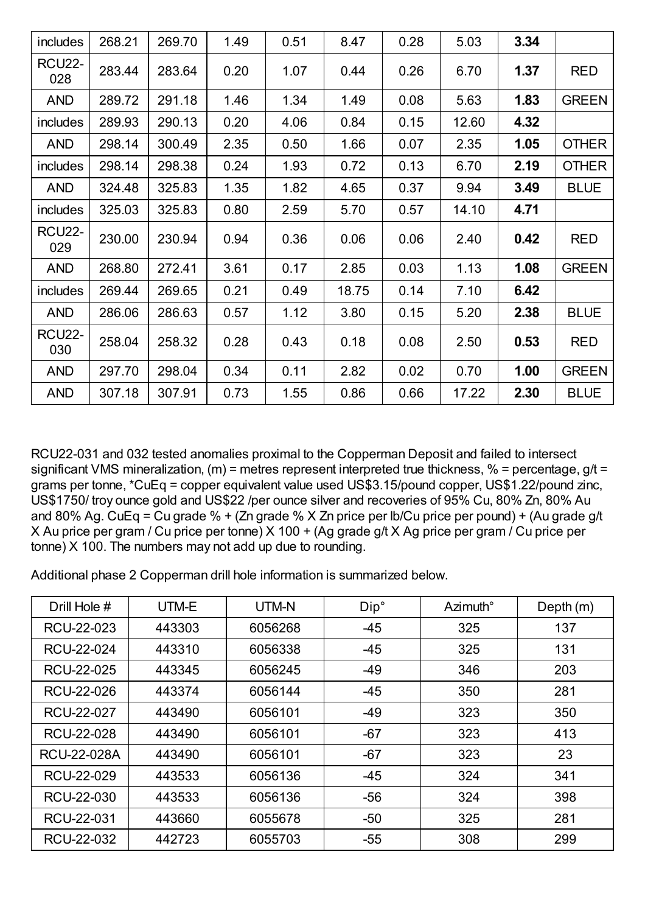| includes             | 268.21 | 269.70 | 1.49 | 0.51 | 8.47  | 0.28 | 5.03  | 3.34 |              |
|----------------------|--------|--------|------|------|-------|------|-------|------|--------------|
| <b>RCU22-</b><br>028 | 283.44 | 283.64 | 0.20 | 1.07 | 0.44  | 0.26 | 6.70  | 1.37 | <b>RED</b>   |
| <b>AND</b>           | 289.72 | 291.18 | 1.46 | 1.34 | 1.49  | 0.08 | 5.63  | 1.83 | <b>GREEN</b> |
| includes             | 289.93 | 290.13 | 0.20 | 4.06 | 0.84  | 0.15 | 12.60 | 4.32 |              |
| <b>AND</b>           | 298.14 | 300.49 | 2.35 | 0.50 | 1.66  | 0.07 | 2.35  | 1.05 | <b>OTHER</b> |
| includes             | 298.14 | 298.38 | 0.24 | 1.93 | 0.72  | 0.13 | 6.70  | 2.19 | <b>OTHER</b> |
| <b>AND</b>           | 324.48 | 325.83 | 1.35 | 1.82 | 4.65  | 0.37 | 9.94  | 3.49 | <b>BLUE</b>  |
| includes             | 325.03 | 325.83 | 0.80 | 2.59 | 5.70  | 0.57 | 14.10 | 4.71 |              |
| <b>RCU22-</b><br>029 | 230.00 | 230.94 | 0.94 | 0.36 | 0.06  | 0.06 | 2.40  | 0.42 | <b>RED</b>   |
| <b>AND</b>           | 268.80 | 272.41 | 3.61 | 0.17 | 2.85  | 0.03 | 1.13  | 1.08 | <b>GREEN</b> |
| includes             | 269.44 | 269.65 | 0.21 | 0.49 | 18.75 | 0.14 | 7.10  | 6.42 |              |
| <b>AND</b>           | 286.06 | 286.63 | 0.57 | 1.12 | 3.80  | 0.15 | 5.20  | 2.38 | <b>BLUE</b>  |
| <b>RCU22-</b><br>030 | 258.04 | 258.32 | 0.28 | 0.43 | 0.18  | 0.08 | 2.50  | 0.53 | <b>RED</b>   |
| <b>AND</b>           | 297.70 | 298.04 | 0.34 | 0.11 | 2.82  | 0.02 | 0.70  | 1.00 | <b>GREEN</b> |
| <b>AND</b>           | 307.18 | 307.91 | 0.73 | 1.55 | 0.86  | 0.66 | 17.22 | 2.30 | <b>BLUE</b>  |

RCU22-031 and 032 tested anomalies proximal to the Copperman Deposit and failed to intersect significant VMS mineralization, (m) = metres represent interpreted true thickness, % = percentage,  $g/t =$ grams per tonne, \*CuEq = copper equivalent value used US\$3.15/pound copper, US\$1.22/pound zinc, US\$1750/ troy ounce gold and US\$22 /per ounce silver and recoveries of 95% Cu, 80% Zn, 80% Au and 80% Ag. CuEq = Cu grade % + (Zn grade % X Zn price per lb/Cu price per pound) + (Au grade g/t X Au price per gram / Cu price per tonne) X 100 + (Ag grade g/t X Ag price per gram / Cu price per tonne) X 100. The numbers may not add up due to rounding.

Additional phase 2 Copperman drill hole information is summarized below.

| Drill Hole # | UTM-E  | UTM-N   | Dip°  | Azimuth <sup>°</sup> | Depth $(m)$ |
|--------------|--------|---------|-------|----------------------|-------------|
| RCU-22-023   | 443303 | 6056268 | $-45$ | 325                  | 137         |
| RCU-22-024   | 443310 | 6056338 | $-45$ | 325                  | 131         |
| RCU-22-025   | 443345 | 6056245 | $-49$ | 346                  | 203         |
| RCU-22-026   | 443374 | 6056144 | $-45$ | 350                  | 281         |
| RCU-22-027   | 443490 | 6056101 | $-49$ | 323                  | 350         |
| RCU-22-028   | 443490 | 6056101 | $-67$ | 323                  | 413         |
| RCU-22-028A  | 443490 | 6056101 | $-67$ | 323                  | 23          |
| RCU-22-029   | 443533 | 6056136 | $-45$ | 324                  | 341         |
| RCU-22-030   | 443533 | 6056136 | $-56$ | 324                  | 398         |
| RCU-22-031   | 443660 | 6055678 | $-50$ | 325                  | 281         |
| RCU-22-032   | 442723 | 6055703 | $-55$ | 308                  | 299         |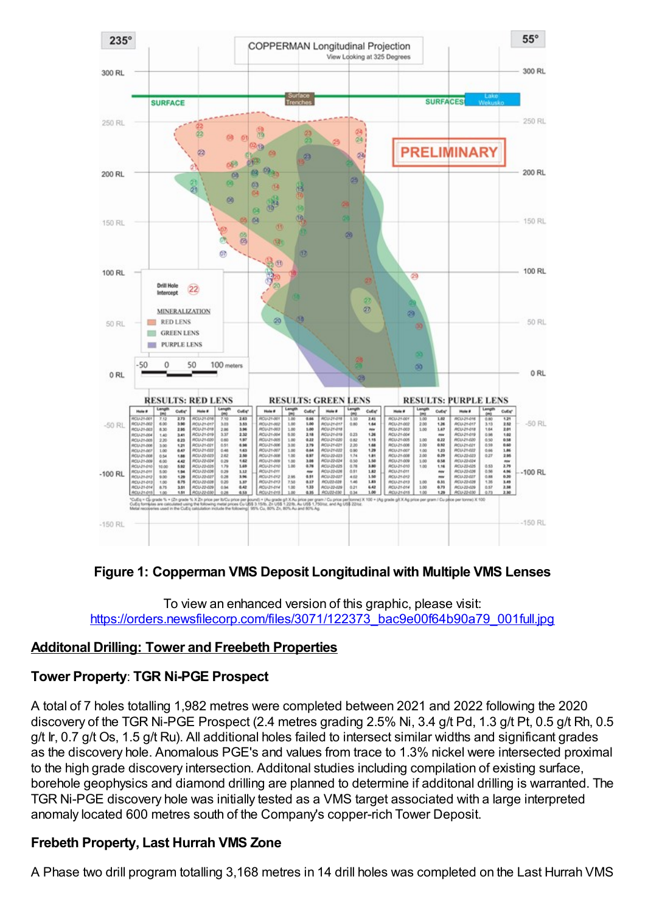

## **Figure 1: Copperman VMS Deposit Longitudinal with Multiple VMS Lenses**

To view an enhanced version of this graphic, please visit: [https://orders.newsfilecorp.com/files/3071/122373\\_bac9e00f64b90a79\\_001full.jpg](https://orders.newsfilecorp.com/files/3071/122373_bac9e00f64b90a79_001full.jpg)

#### **Additonal Drilling: Tower and Freebeth Properties**

#### **Tower Property**: **TGR Ni-PGE Prospect**

A total of 7 holes totalling 1,982 metres were completed between 2021 and 2022 following the 2020 discovery of the TGR Ni-PGE Prospect (2.4 metres grading 2.5% Ni, 3.4 g/t Pd, 1.3 g/t Pt, 0.5 g/t Rh, 0.5 g/t Ir, 0.7 g/t Os, 1.5 g/t Ru). All additional holes failed to intersect similar widths and significant grades as the discovery hole. Anomalous PGE's and values from trace to 1.3% nickel were intersected proximal to the high grade discovery intersection. Additonal studies including compilation of existing surface, borehole geophysics and diamond drilling are planned to determine if additonal drilling is warranted. The TGR Ni-PGE discovery hole was initially tested as a VMS target associated with a large interpreted anomaly located 600 metres south of the Company's copper-rich Tower Deposit.

#### **Frebeth Property, Last Hurrah VMS Zone**

A Phase two drill program totalling 3,168 metres in 14 drill holes was completed on the Last Hurrah VMS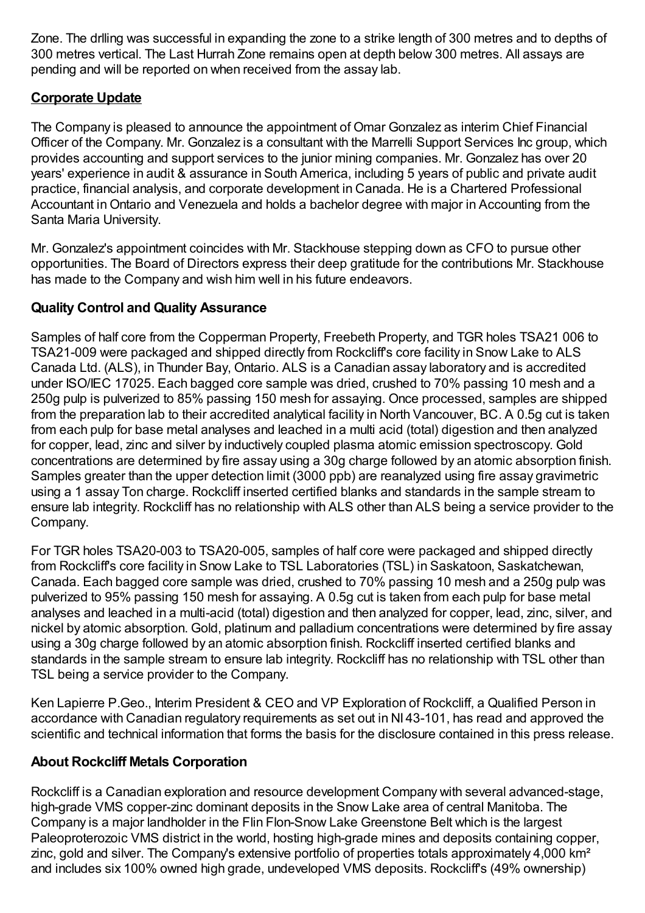Zone. The drlling was successful in expanding the zone to a strike length of 300 metres and to depths of 300 metres vertical. The Last Hurrah Zone remains open at depth below 300 metres. All assays are pending and will be reported on when received from the assay lab.

# **Corporate Update**

The Company is pleased to announce the appointment of Omar Gonzalez as interim Chief Financial Officer of the Company. Mr. Gonzalez is a consultant with the Marrelli Support Services Inc group, which provides accounting and support services to the junior mining companies. Mr. Gonzalez has over 20 years' experience in audit & assurance in South America, including 5 years of public and private audit practice, financial analysis, and corporate development in Canada. He is a Chartered Professional Accountant inOntario and Venezuela and holds a bachelor degree with major in Accounting from the Santa Maria University.

Mr. Gonzalez's appointment coincides with Mr. Stackhouse stepping down as CFO to pursue other opportunities. The Board of Directors express their deep gratitude for the contributions Mr. Stackhouse has made to the Company and wish him well in his future endeavors.

# **Quality Control and Quality Assurance**

Samples of half core from the Copperman Property, Freebeth Property, and TGR holes TSA21 006 to TSA21-009 were packaged and shipped directly from Rockcliff's core facility in Snow Lake to ALS Canada Ltd. (ALS), in Thunder Bay, Ontario. ALS is a Canadian assay laboratory and is accredited under ISO/IEC 17025. Each bagged core sample was dried, crushed to 70% passing 10 mesh and a 250g pulp is pulverized to 85% passing 150 mesh for assaying. Once processed, samples are shipped from the preparation lab to their accredited analytical facility in North Vancouver, BC. A 0.5g cut is taken from each pulp for base metal analyses and leached in a multi acid (total) digestion and then analyzed for copper, lead, zinc and silver by inductively coupled plasma atomic emission spectroscopy. Gold concentrations are determined by fire assay using a 30g charge followed by an atomic absorption finish. Samples greater than the upper detection limit (3000 ppb) are reanalyzed using fire assay gravimetric using a 1 assay Ton charge. Rockcliff inserted certified blanks and standards in the sample stream to ensure lab integrity. Rockcliff has no relationship with ALS other than ALS being a service provider to the Company.

For TGR holes TSA20-003 to TSA20-005, samples of half core were packaged and shipped directly from Rockcliff's core facility in Snow Lake to TSL Laboratories (TSL) in Saskatoon, Saskatchewan, Canada. Each bagged core sample was dried, crushed to 70% passing 10 mesh and a 250g pulp was pulverized to 95% passing 150 mesh for assaying. A 0.5g cut is taken from each pulp for base metal analyses and leached in a multi-acid (total) digestion and then analyzed for copper, lead, zinc, silver, and nickel by atomic absorption. Gold, platinum and palladium concentrations were determined by fire assay using a 30g charge followed by an atomic absorption finish. Rockcliff inserted certified blanks and standards in the sample stream to ensure lab integrity. Rockcliff has no relationship with TSL other than TSL being a service provider to the Company.

Ken Lapierre P.Geo., Interim President & CEO and VP Exploration of Rockcliff, a Qualified Person in accordance with Canadian regulatory requirements as set out in NI 43-101, has read and approved the scientific and technical information that forms the basis for the disclosure contained in this press release.

## **About Rockcliff Metals Corporation**

Rockcliff is a Canadian exploration and resource development Company with several advanced-stage, high-grade VMS copper-zinc dominant deposits in the Snow Lake area of central Manitoba. The Company is a major landholder in the Flin Flon-Snow Lake Greenstone Belt which is the largest Paleoproterozoic VMS district in the world, hosting high-grade mines and deposits containing copper, zinc, gold and silver. The Company's extensive portfolio of properties totals approximately 4,000 km<sup>2</sup> and includes six 100% owned high grade, undeveloped VMS deposits. Rockcliff's (49% ownership)